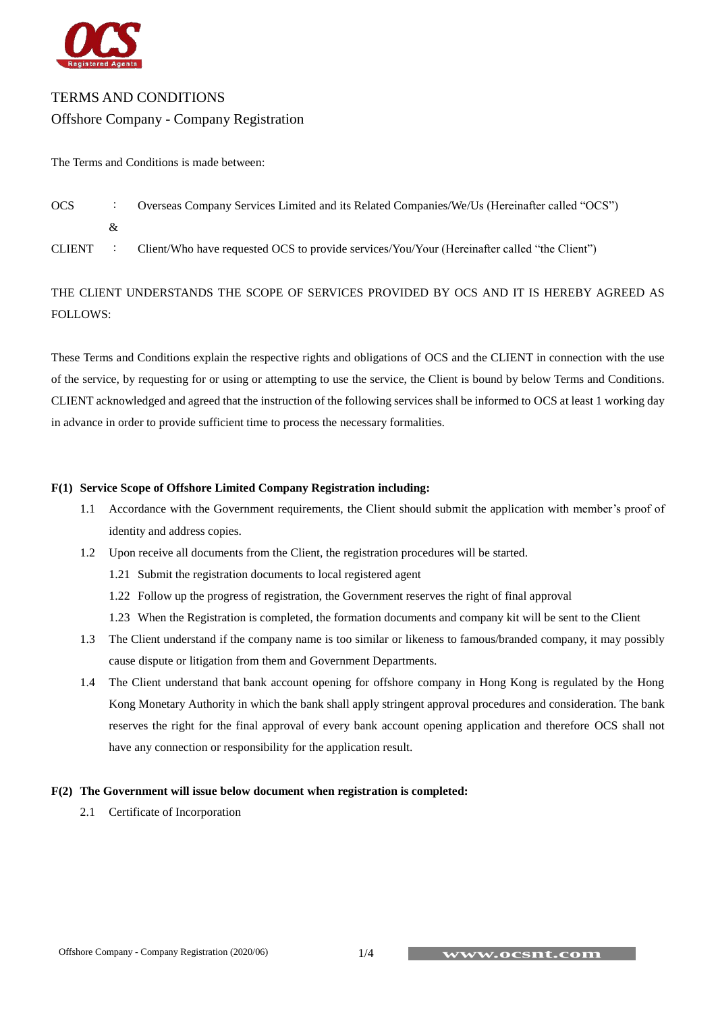

# TERMS AND CONDITIONS

# Offshore Company - Company Registration

The Terms and Conditions is made between:

| <b>OCS</b> |    | Overseas Company Services Limited and its Related Companies/We/Us (Hereinafter called "OCS") |
|------------|----|----------------------------------------------------------------------------------------------|
|            | 8z |                                                                                              |
| CLIENT :   |    | Client/Who have requested OCS to provide services/You/Your (Hereinafter called "the Client") |

# THE CLIENT UNDERSTANDS THE SCOPE OF SERVICES PROVIDED BY OCS AND IT IS HEREBY AGREED AS FOLLOWS:

These Terms and Conditions explain the respective rights and obligations of OCS and the CLIENT in connection with the use of the service, by requesting for or using or attempting to use the service, the Client is bound by below Terms and Conditions. CLIENT acknowledged and agreed that the instruction of the following services shall be informed to OCS at least 1 working day in advance in order to provide sufficient time to process the necessary formalities.

# **F(1) Service Scope of Offshore Limited Company Registration including:**

- 1.1 Accordance with the Government requirements, the Client should submit the application with member's proof of identity and address copies.
- 1.2 Upon receive all documents from the Client, the registration procedures will be started.
	- 1.21 Submit the registration documents to local registered agent
	- 1.22 Follow up the progress of registration, the Government reserves the right of final approval
	- 1.23 When the Registration is completed, the formation documents and company kit will be sent to the Client
- 1.3 The Client understand if the company name is too similar or likeness to famous/branded company, it may possibly cause dispute or litigation from them and Government Departments.
- 1.4 The Client understand that bank account opening for offshore company in Hong Kong is regulated by the Hong Kong Monetary Authority in which the bank shall apply stringent approval procedures and consideration. The bank reserves the right for the final approval of every bank account opening application and therefore OCS shall not have any connection or responsibility for the application result.

# **F(2) The Government will issue below document when registration is completed:**

2.1 Certificate of Incorporation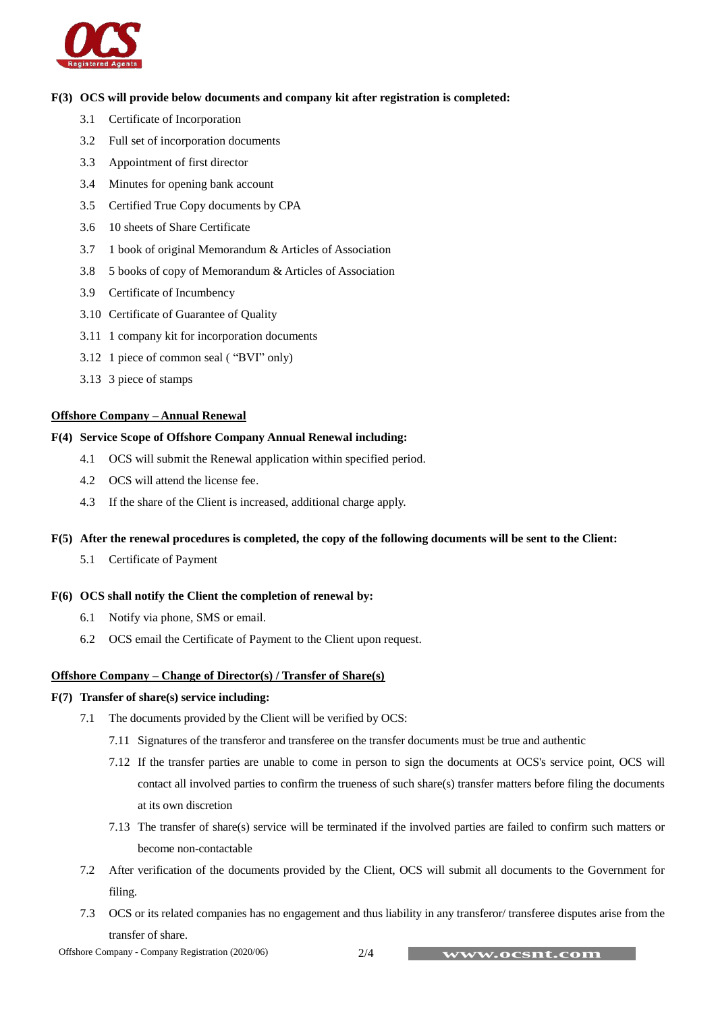

# **F(3) OCS will provide below documents and company kit after registration is completed:**

- 3.1 Certificate of Incorporation
- 3.2 Full set of incorporation documents
- 3.3 Appointment of first director
- 3.4 Minutes for opening bank account
- 3.5 Certified True Copy documents by CPA
- 3.6 10 sheets of Share Certificate
- 3.7 1 book of original Memorandum & Articles of Association
- 3.8 5 books of copy of Memorandum & Articles of Association
- 3.9 Certificate of Incumbency
- 3.10 Certificate of Guarantee of Quality
- 3.11 1 company kit for incorporation documents
- 3.12 1 piece of common seal ( "BVI" only)
- 3.13 3 piece of stamps

# **Offshore Company – Annual Renewal**

#### **F(4) Service Scope of Offshore Company Annual Renewal including:**

- 4.1 OCS will submit the Renewal application within specified period.
- 4.2 OCS will attend the license fee.
- 4.3 If the share of the Client is increased, additional charge apply.

#### **F(5) After the renewal procedures is completed, the copy of the following documents will be sent to the Client:**

5.1 Certificate of Payment

#### **F(6) OCS shall notify the Client the completion of renewal by:**

- 6.1 Notify via phone, SMS or email.
- 6.2 OCS email the Certificate of Payment to the Client upon request.

#### **Offshore Company – Change of Director(s) / Transfer of Share(s)**

# **F(7) Transfer of share(s) service including:**

- 7.1 The documents provided by the Client will be verified by OCS:
	- 7.11 Signatures of the transferor and transferee on the transfer documents must be true and authentic
	- 7.12 If the transfer parties are unable to come in person to sign the documents at OCS's service point, OCS will contact all involved parties to confirm the trueness of such share(s) transfer matters before filing the documents at its own discretion
	- 7.13 The transfer of share(s) service will be terminated if the involved parties are failed to confirm such matters or become non-contactable
- 7.2 After verification of the documents provided by the Client, OCS will submit all documents to the Government for filing.
- 7.3 OCS or its related companies has no engagement and thus liability in any transferor/ transferee disputes arise from the transfer of share.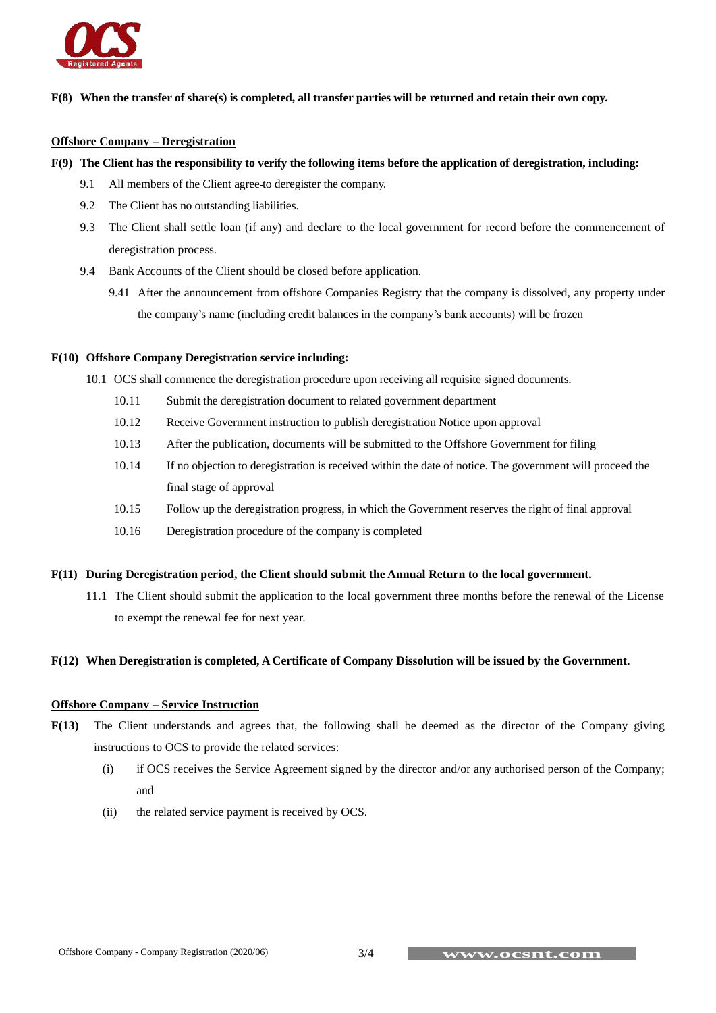

# **F(8) When the transfer of share(s) is completed, all transfer parties will be returned and retain their own copy.**

#### **Offshore Company – Deregistration**

### **F(9) The Client has the responsibility to verify the following items before the application of deregistration, including:**

- 9.1 All members of the Client agree to deregister the company.
- 9.2 The Client has no outstanding liabilities.
- 9.3 The Client shall settle loan (if any) and declare to the local government for record before the commencement of deregistration process.
- 9.4 Bank Accounts of the Client should be closed before application.
	- 9.41 After the announcement from offshore Companies Registry that the company is dissolved, any property under the company's name (including credit balances in the company's bank accounts) will be frozen

#### **F(10) Offshore Company Deregistration service including:**

- 10.1 OCS shall commence the deregistration procedure upon receiving all requisite signed documents.
	- 10.11 Submit the deregistration document to related government department
	- 10.12 Receive Government instruction to publish deregistration Notice upon approval
	- 10.13 After the publication, documents will be submitted to the Offshore Government for filing
	- 10.14 If no objection to deregistration is received within the date of notice. The government will proceed the final stage of approval
	- 10.15 Follow up the deregistration progress, in which the Government reserves the right of final approval
	- 10.16 Deregistration procedure of the company is completed

#### **F(11) During Deregistration period, the Client should submit the Annual Return to the local government.**

11.1 The Client should submit the application to the local government three months before the renewal of the License to exempt the renewal fee for next year.

# **F(12) When Deregistration is completed, A Certificate of Company Dissolution will be issued by the Government.**

# **Offshore Company – Service Instruction**

- **F(13)** The Client understands and agrees that, the following shall be deemed as the director of the Company giving instructions to OCS to provide the related services:
	- (i) if OCS receives the Service Agreement signed by the director and/or any authorised person of the Company; and
	- (ii) the related service payment is received by OCS.